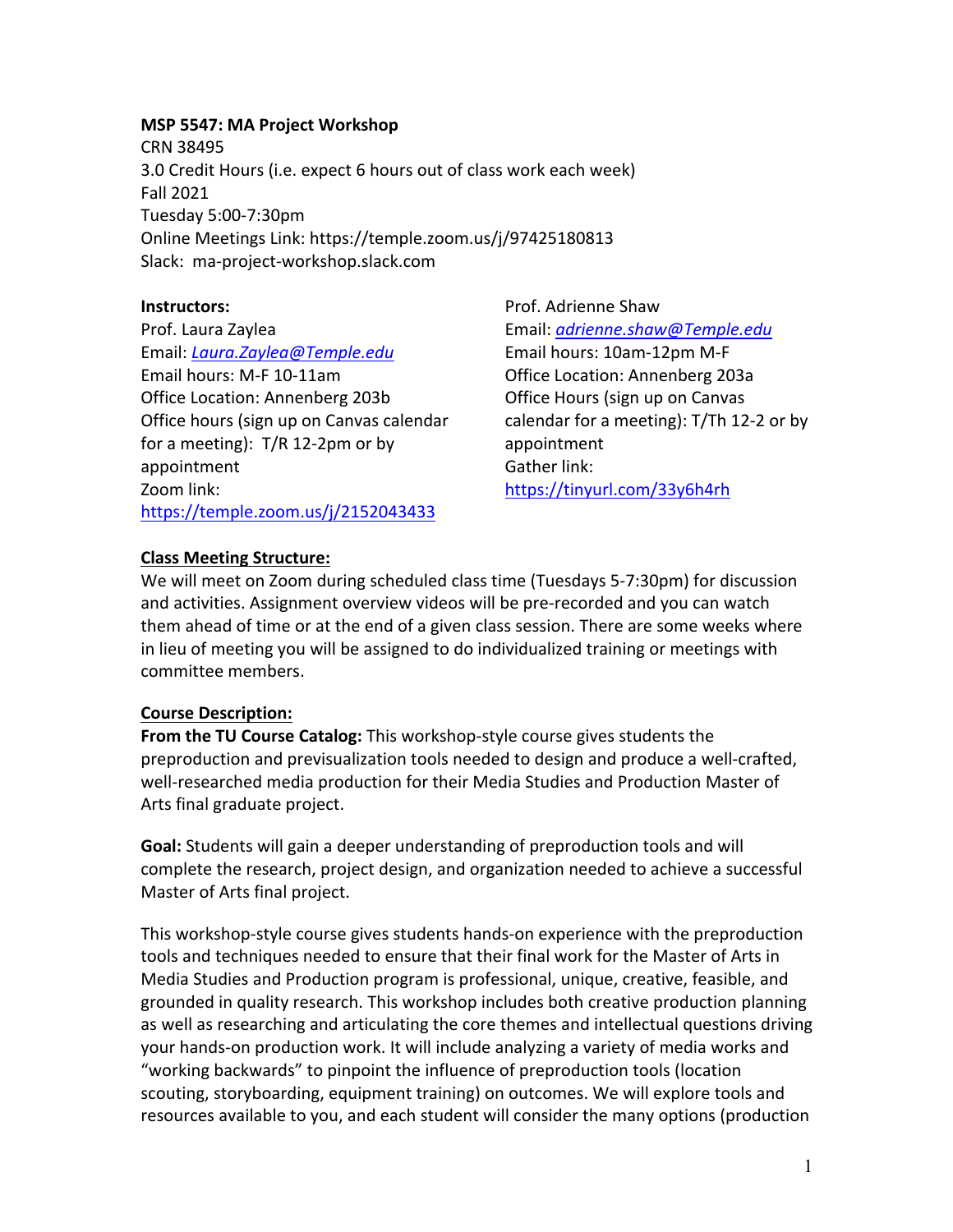#### **MSP 5547: MA Project Workshop**

CRN 38495 3.0 Credit Hours (i.e. expect 6 hours out of class work each week) Fall 2021 Tuesday 5:00-7:30pm Online Meetings Link: https://temple.zoom.us/j/97425180813 Slack: ma-project-workshop.slack.com

#### **Instructors:**

Prof. Laura Zaylea Email: *Laura.Zaylea@Temple.edu* Email hours: M-F 10-11am Office Location: Annenberg 203b Office hours (sign up on Canvas calendar for a meeting): T/R 12-2pm or by appointment Zoom link: https://temple.zoom.us/j/2152043433

Prof. Adrienne Shaw Email: *adrienne.shaw@Temple.edu* Email hours: 10am-12pm M-F Office Location: Annenberg 203a Office Hours (sign up on Canvas calendar for a meeting): T/Th 12-2 or by appointment Gather link: https://tinyurl.com/33y6h4rh

## **Class Meeting Structure:**

We will meet on Zoom during scheduled class time (Tuesdays 5-7:30pm) for discussion and activities. Assignment overview videos will be pre-recorded and you can watch them ahead of time or at the end of a given class session. There are some weeks where in lieu of meeting you will be assigned to do individualized training or meetings with committee members.

#### **Course Description:**

**From the TU Course Catalog:** This workshop-style course gives students the preproduction and previsualization tools needed to design and produce a well-crafted, well-researched media production for their Media Studies and Production Master of Arts final graduate project.

**Goal:** Students will gain a deeper understanding of preproduction tools and will complete the research, project design, and organization needed to achieve a successful Master of Arts final project.

This workshop-style course gives students hands-on experience with the preproduction tools and techniques needed to ensure that their final work for the Master of Arts in Media Studies and Production program is professional, unique, creative, feasible, and grounded in quality research. This workshop includes both creative production planning as well as researching and articulating the core themes and intellectual questions driving your hands-on production work. It will include analyzing a variety of media works and "working backwards" to pinpoint the influence of preproduction tools (location scouting, storyboarding, equipment training) on outcomes. We will explore tools and resources available to you, and each student will consider the many options (production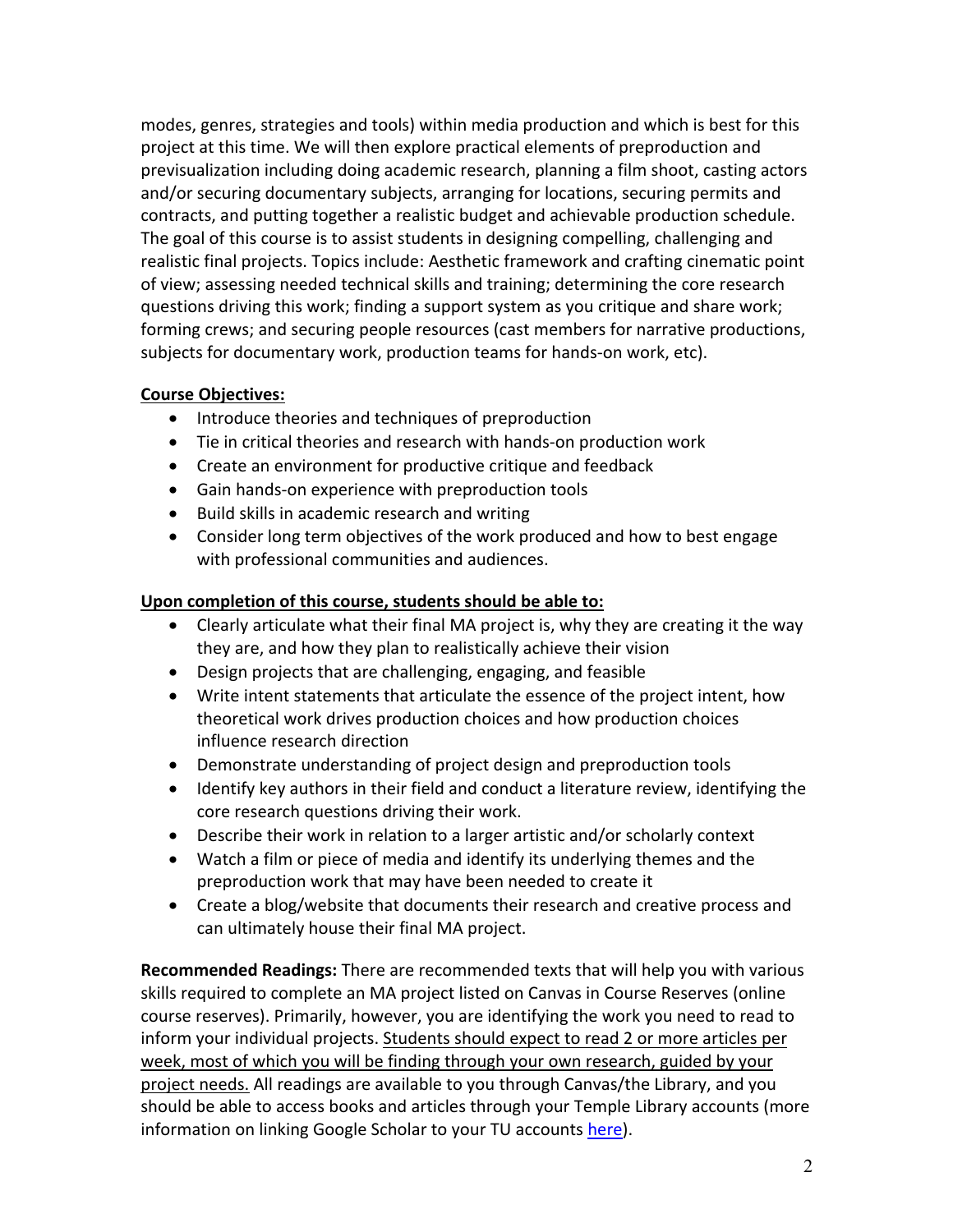modes, genres, strategies and tools) within media production and which is best for this project at this time. We will then explore practical elements of preproduction and previsualization including doing academic research, planning a film shoot, casting actors and/or securing documentary subjects, arranging for locations, securing permits and contracts, and putting together a realistic budget and achievable production schedule. The goal of this course is to assist students in designing compelling, challenging and realistic final projects. Topics include: Aesthetic framework and crafting cinematic point of view; assessing needed technical skills and training; determining the core research questions driving this work; finding a support system as you critique and share work; forming crews; and securing people resources (cast members for narrative productions, subjects for documentary work, production teams for hands-on work, etc).

## **Course Objectives:**

- Introduce theories and techniques of preproduction
- Tie in critical theories and research with hands-on production work
- Create an environment for productive critique and feedback
- Gain hands-on experience with preproduction tools
- Build skills in academic research and writing
- Consider long term objectives of the work produced and how to best engage with professional communities and audiences.

## **Upon completion of this course, students should be able to:**

- Clearly articulate what their final MA project is, why they are creating it the way they are, and how they plan to realistically achieve their vision
- Design projects that are challenging, engaging, and feasible
- Write intent statements that articulate the essence of the project intent, how theoretical work drives production choices and how production choices influence research direction
- Demonstrate understanding of project design and preproduction tools
- Identify key authors in their field and conduct a literature review, identifying the core research questions driving their work.
- Describe their work in relation to a larger artistic and/or scholarly context
- Watch a film or piece of media and identify its underlying themes and the preproduction work that may have been needed to create it
- Create a blog/website that documents their research and creative process and can ultimately house their final MA project.

**Recommended Readings:** There are recommended texts that will help you with various skills required to complete an MA project listed on Canvas in Course Reserves (online course reserves). Primarily, however, you are identifying the work you need to read to inform your individual projects. Students should expect to read 2 or more articles per week, most of which you will be finding through your own research, guided by your project needs. All readings are available to you through Canvas/the Library, and you should be able to access books and articles through your Temple Library accounts (more information on linking Google Scholar to your TU accounts here).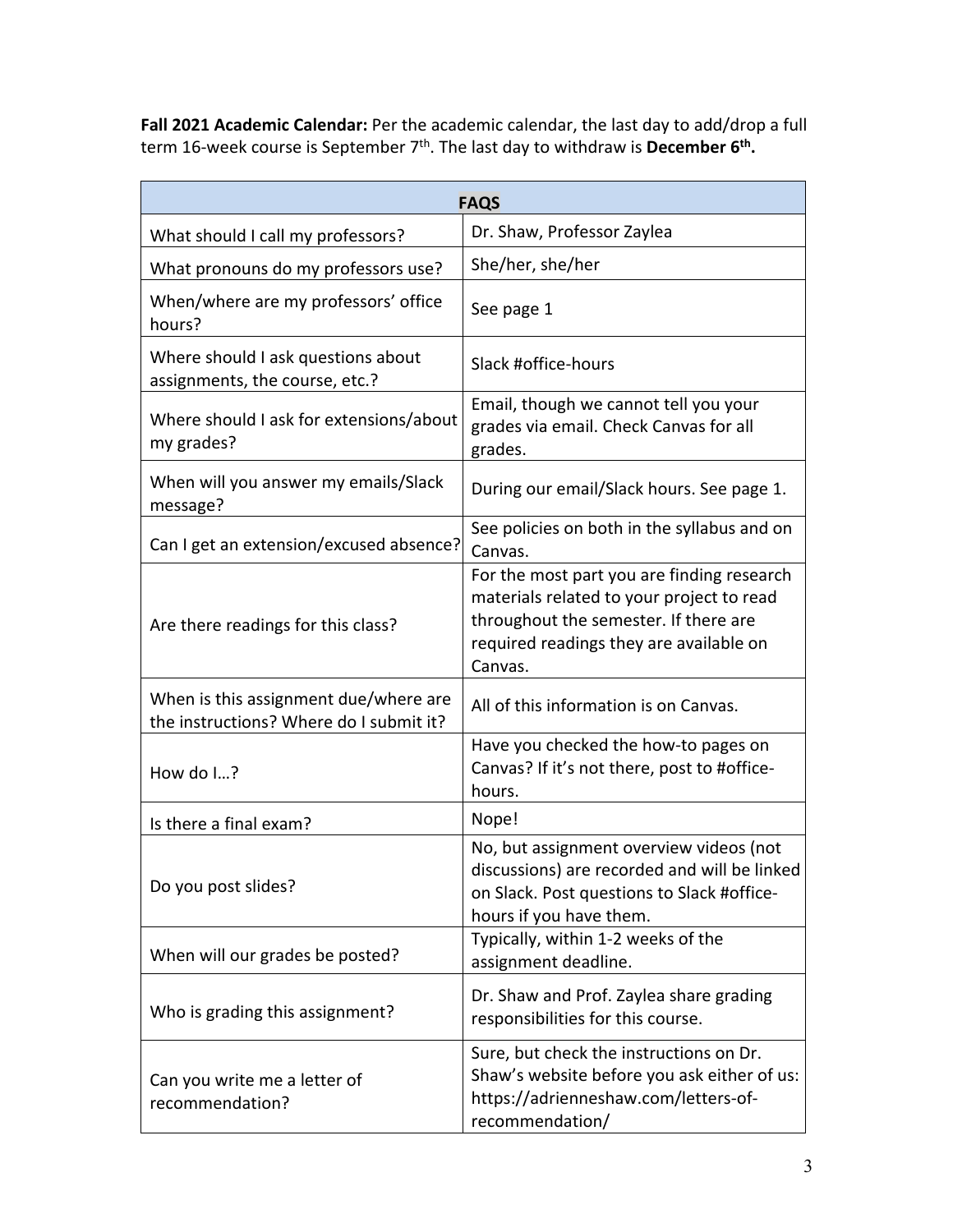**Fall 2021 Academic Calendar:** Per the academic calendar, the last day to add/drop a full term 16-week course is September 7th. The last day to withdraw is **December 6th.**

| <b>FAQS</b>                                                                      |                                                                                                                                                                                        |  |  |  |
|----------------------------------------------------------------------------------|----------------------------------------------------------------------------------------------------------------------------------------------------------------------------------------|--|--|--|
| What should I call my professors?                                                | Dr. Shaw, Professor Zaylea                                                                                                                                                             |  |  |  |
| What pronouns do my professors use?                                              | She/her, she/her                                                                                                                                                                       |  |  |  |
| When/where are my professors' office<br>hours?                                   | See page 1                                                                                                                                                                             |  |  |  |
| Where should I ask questions about<br>assignments, the course, etc.?             | Slack #office-hours                                                                                                                                                                    |  |  |  |
| Where should I ask for extensions/about<br>my grades?                            | Email, though we cannot tell you your<br>grades via email. Check Canvas for all<br>grades.                                                                                             |  |  |  |
| When will you answer my emails/Slack<br>message?                                 | During our email/Slack hours. See page 1.                                                                                                                                              |  |  |  |
| Can I get an extension/excused absence?                                          | See policies on both in the syllabus and on<br>Canvas.                                                                                                                                 |  |  |  |
| Are there readings for this class?                                               | For the most part you are finding research<br>materials related to your project to read<br>throughout the semester. If there are<br>required readings they are available on<br>Canvas. |  |  |  |
| When is this assignment due/where are<br>the instructions? Where do I submit it? | All of this information is on Canvas.                                                                                                                                                  |  |  |  |
| How do I?                                                                        | Have you checked the how-to pages on<br>Canvas? If it's not there, post to #office-<br>hours.                                                                                          |  |  |  |
| Is there a final exam?                                                           | Nope!                                                                                                                                                                                  |  |  |  |
| Do you post slides?                                                              | No, but assignment overview videos (not<br>discussions) are recorded and will be linked<br>on Slack. Post questions to Slack #office-<br>hours if you have them.                       |  |  |  |
| When will our grades be posted?                                                  | Typically, within 1-2 weeks of the<br>assignment deadline.                                                                                                                             |  |  |  |
| Who is grading this assignment?                                                  | Dr. Shaw and Prof. Zaylea share grading<br>responsibilities for this course.                                                                                                           |  |  |  |
| Can you write me a letter of<br>recommendation?                                  | Sure, but check the instructions on Dr.<br>Shaw's website before you ask either of us:<br>https://adrienneshaw.com/letters-of-<br>recommendation/                                      |  |  |  |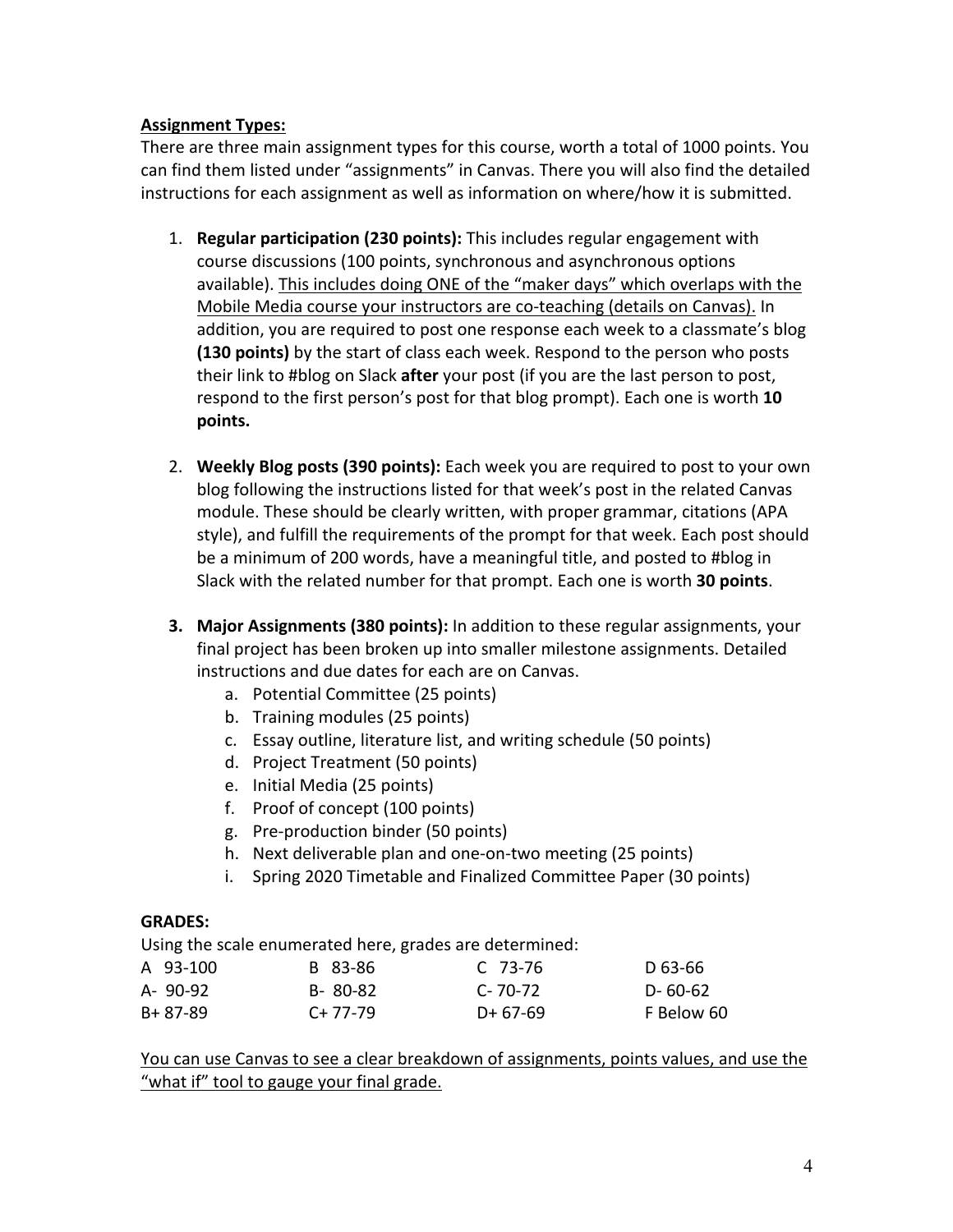# **Assignment Types:**

There are three main assignment types for this course, worth a total of 1000 points. You can find them listed under "assignments" in Canvas. There you will also find the detailed instructions for each assignment as well as information on where/how it is submitted.

- 1. **Regular participation (230 points):** This includes regular engagement with course discussions (100 points, synchronous and asynchronous options available). This includes doing ONE of the "maker days" which overlaps with the Mobile Media course your instructors are co-teaching (details on Canvas). In addition, you are required to post one response each week to a classmate's blog **(130 points)** by the start of class each week. Respond to the person who posts their link to #blog on Slack **after** your post (if you are the last person to post, respond to the first person's post for that blog prompt). Each one is worth **10 points.**
- 2. **Weekly Blog posts (390 points):** Each week you are required to post to your own blog following the instructions listed for that week's post in the related Canvas module. These should be clearly written, with proper grammar, citations (APA style), and fulfill the requirements of the prompt for that week. Each post should be a minimum of 200 words, have a meaningful title, and posted to #blog in Slack with the related number for that prompt. Each one is worth **30 points**.
- **3. Major Assignments (380 points):** In addition to these regular assignments, your final project has been broken up into smaller milestone assignments. Detailed instructions and due dates for each are on Canvas.
	- a. Potential Committee (25 points)
	- b. Training modules (25 points)
	- c. Essay outline, literature list, and writing schedule (50 points)
	- d. Project Treatment (50 points)
	- e. Initial Media (25 points)
	- f. Proof of concept (100 points)
	- g. Pre-production binder (50 points)
	- h. Next deliverable plan and one-on-two meeting (25 points)
	- i. Spring 2020 Timetable and Finalized Committee Paper (30 points)

## **GRADES:**

Using the scale enumerated here, grades are determined:

| A 93-100 | B 83-86   | C 73-76       | D 63-66    |
|----------|-----------|---------------|------------|
| A-90-92  | B-80-82   | $C - 70 - 72$ | D-60-62    |
| B+ 87-89 | $C+77-79$ | $D+67-69$     | F Below 60 |

You can use Canvas to see a clear breakdown of assignments, points values, and use the "what if" tool to gauge your final grade.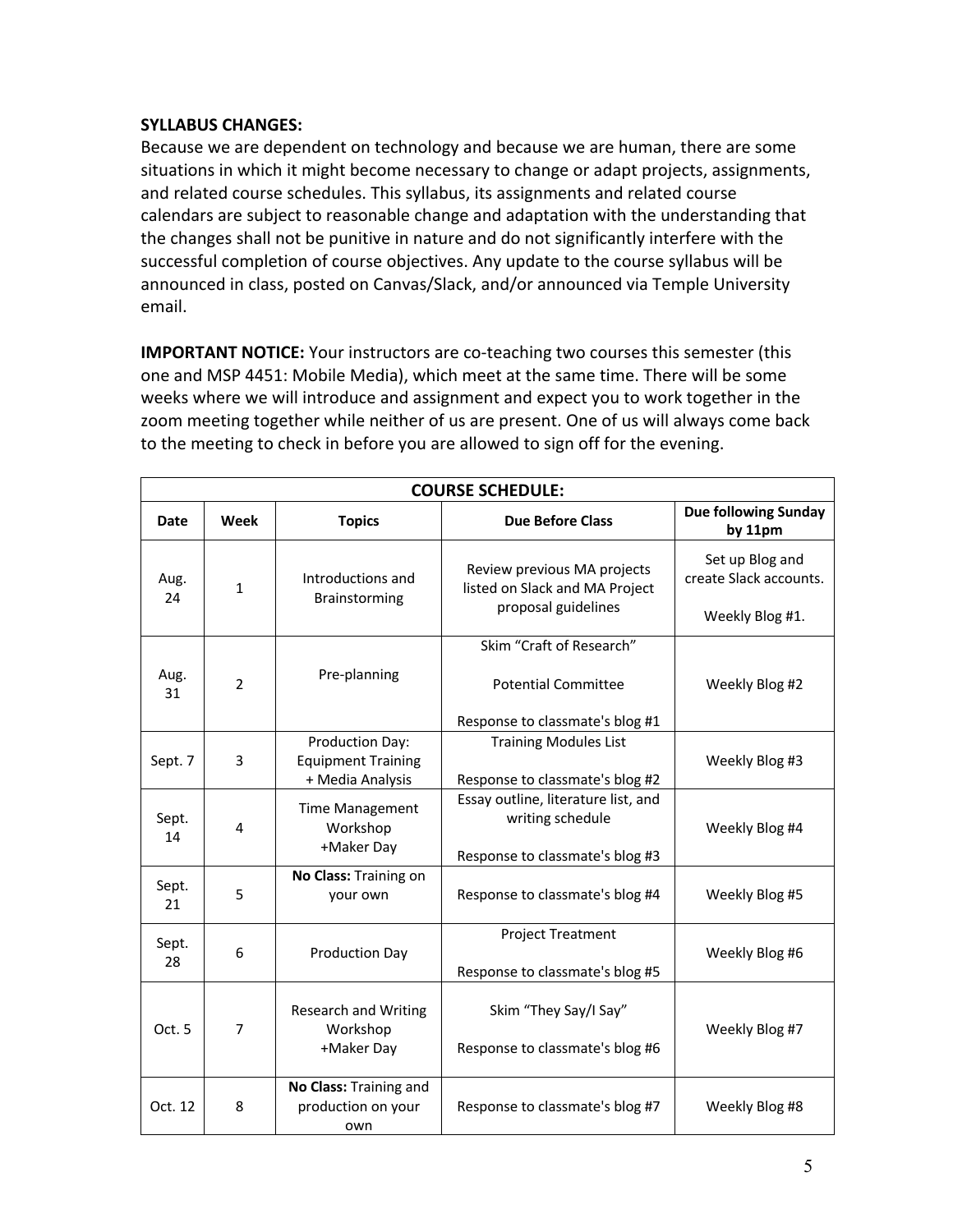#### **SYLLABUS CHANGES:**

Because we are dependent on technology and because we are human, there are some situations in which it might become necessary to change or adapt projects, assignments, and related course schedules. This syllabus, its assignments and related course calendars are subject to reasonable change and adaptation with the understanding that the changes shall not be punitive in nature and do not significantly interfere with the successful completion of course objectives. Any update to the course syllabus will be announced in class, posted on Canvas/Slack, and/or announced via Temple University email.

**IMPORTANT NOTICE:** Your instructors are co-teaching two courses this semester (this one and MSP 4451: Mobile Media), which meet at the same time. There will be some weeks where we will introduce and assignment and expect you to work together in the zoom meeting together while neither of us are present. One of us will always come back to the meeting to check in before you are allowed to sign off for the evening.

| <b>COURSE SCHEDULE:</b> |                |                                               |                                                                                      |                                           |
|-------------------------|----------------|-----------------------------------------------|--------------------------------------------------------------------------------------|-------------------------------------------|
| <b>Date</b>             | Week           | <b>Topics</b>                                 | <b>Due Before Class</b>                                                              | <b>Due following Sunday</b><br>by 11pm    |
| Aug.<br>24              | $\mathbf{1}$   | Introductions and<br>Brainstorming            | Review previous MA projects<br>listed on Slack and MA Project<br>proposal guidelines | Set up Blog and<br>create Slack accounts. |
|                         |                |                                               |                                                                                      | Weekly Blog #1.                           |
|                         |                |                                               | Skim "Craft of Research"                                                             |                                           |
| Aug.<br>31              | $\overline{2}$ | Pre-planning                                  | <b>Potential Committee</b>                                                           | Weekly Blog #2                            |
|                         |                |                                               | Response to classmate's blog #1                                                      |                                           |
|                         |                | Production Day:                               | <b>Training Modules List</b>                                                         |                                           |
| Sept. 7                 | 3              | <b>Equipment Training</b><br>+ Media Analysis | Response to classmate's blog #2                                                      | Weekly Blog #3                            |
|                         |                |                                               | Essay outline, literature list, and                                                  |                                           |
| Sept.                   | 4              | <b>Time Management</b><br>Workshop            | writing schedule                                                                     | Weekly Blog #4                            |
| 14                      |                | +Maker Day                                    | Response to classmate's blog #3                                                      |                                           |
|                         |                | No Class: Training on                         |                                                                                      |                                           |
| Sept.<br>21             | 5              | your own                                      | Response to classmate's blog #4                                                      | Weekly Blog #5                            |
| Sept.                   |                |                                               | <b>Project Treatment</b>                                                             |                                           |
| 28                      | 6              | Production Day                                |                                                                                      | Weekly Blog #6                            |
|                         |                |                                               | Response to classmate's blog #5                                                      |                                           |
|                         |                | <b>Research and Writing</b>                   | Skim "They Say/I Say"                                                                |                                           |
| Oct. 5                  | 7              | Workshop                                      |                                                                                      | Weekly Blog #7                            |
|                         |                | +Maker Day                                    | Response to classmate's blog #6                                                      |                                           |
|                         |                | No Class: Training and                        |                                                                                      |                                           |
| Oct. 12                 | 8              | production on your<br>own                     | Response to classmate's blog #7                                                      | Weekly Blog #8                            |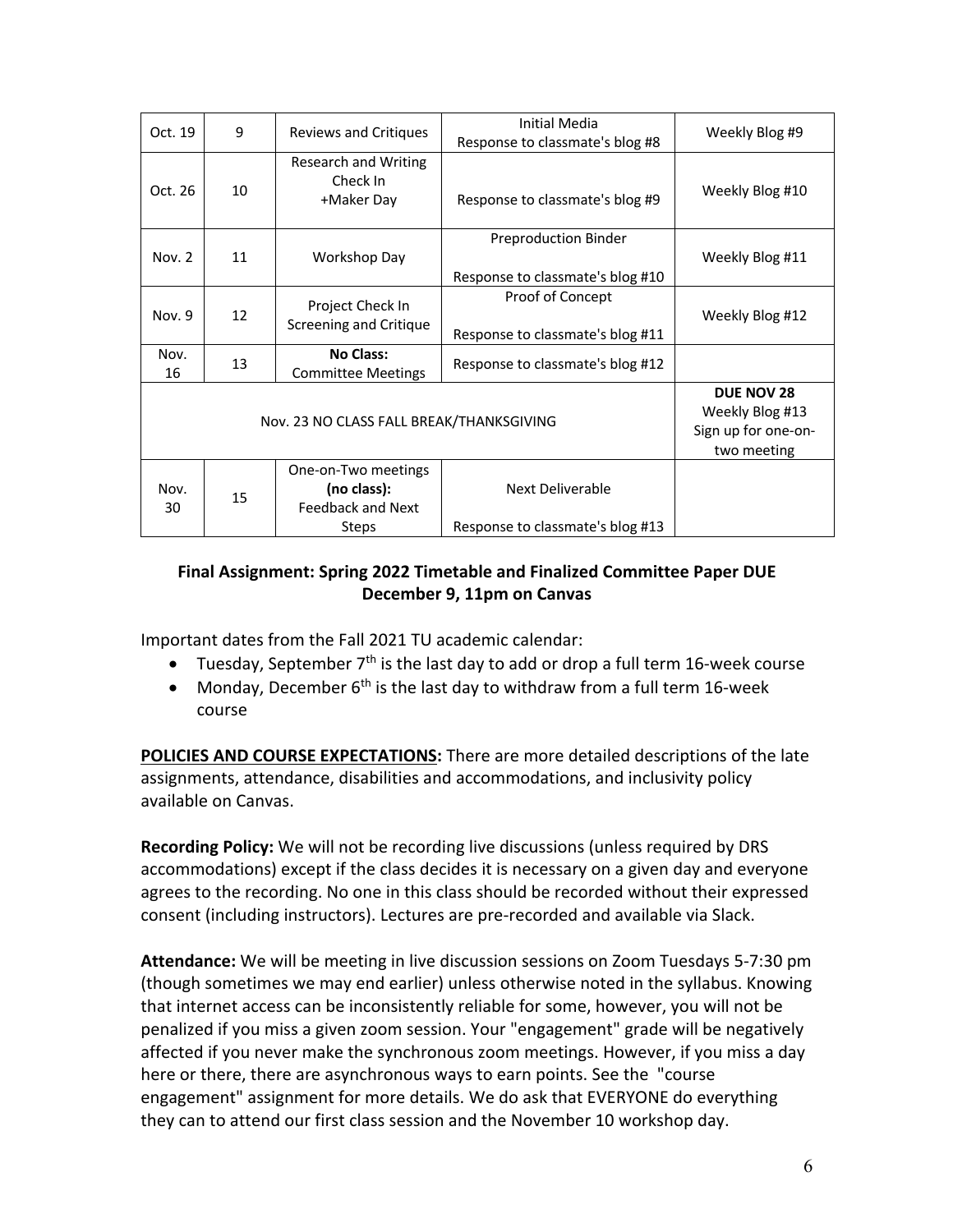| Oct. 19                                  | 9  | Reviews and Critiques                                                          | Initial Media<br>Response to classmate's blog #8                           | Weekly Blog #9  |
|------------------------------------------|----|--------------------------------------------------------------------------------|----------------------------------------------------------------------------|-----------------|
| Oct. 26                                  | 10 | Research and Writing<br>Check In<br>+Maker Day                                 | Response to classmate's blog #9                                            | Weekly Blog #10 |
| Nov. 2                                   | 11 | Workshop Day                                                                   | Preproduction Binder<br>Response to classmate's blog #10                   | Weekly Blog #11 |
| Nov. 9                                   | 12 | Project Check In<br>Screening and Critique                                     | Proof of Concept<br>Response to classmate's blog #11                       | Weekly Blog #12 |
| Nov.<br>16                               | 13 | <b>No Class:</b><br><b>Committee Meetings</b>                                  | Response to classmate's blog #12                                           |                 |
| Nov. 23 NO CLASS FALL BREAK/THANKSGIVING |    |                                                                                | <b>DUE NOV 28</b><br>Weekly Blog #13<br>Sign up for one-on-<br>two meeting |                 |
| Nov.<br>30                               | 15 | One-on-Two meetings<br>(no class):<br><b>Feedback and Next</b><br><b>Steps</b> | Next Deliverable<br>Response to classmate's blog #13                       |                 |

# **Final Assignment: Spring 2022 Timetable and Finalized Committee Paper DUE December 9, 11pm on Canvas**

Important dates from the Fall 2021 TU academic calendar:

- Tuesday, September  $7<sup>th</sup>$  is the last day to add or drop a full term 16-week course
- Monday, December  $6<sup>th</sup>$  is the last day to withdraw from a full term 16-week course

**POLICIES AND COURSE EXPECTATIONS:** There are more detailed descriptions of the late assignments, attendance, disabilities and accommodations, and inclusivity policy available on Canvas.

**Recording Policy:** We will not be recording live discussions (unless required by DRS accommodations) except if the class decides it is necessary on a given day and everyone agrees to the recording. No one in this class should be recorded without their expressed consent (including instructors). Lectures are pre-recorded and available via Slack.

**Attendance:** We will be meeting in live discussion sessions on Zoom Tuesdays 5-7:30 pm (though sometimes we may end earlier) unless otherwise noted in the syllabus. Knowing that internet access can be inconsistently reliable for some, however, you will not be penalized if you miss a given zoom session. Your "engagement" grade will be negatively affected if you never make the synchronous zoom meetings. However, if you miss a day here or there, there are asynchronous ways to earn points. See the "course engagement" assignment for more details. We do ask that EVERYONE do everything they can to attend our first class session and the November 10 workshop day.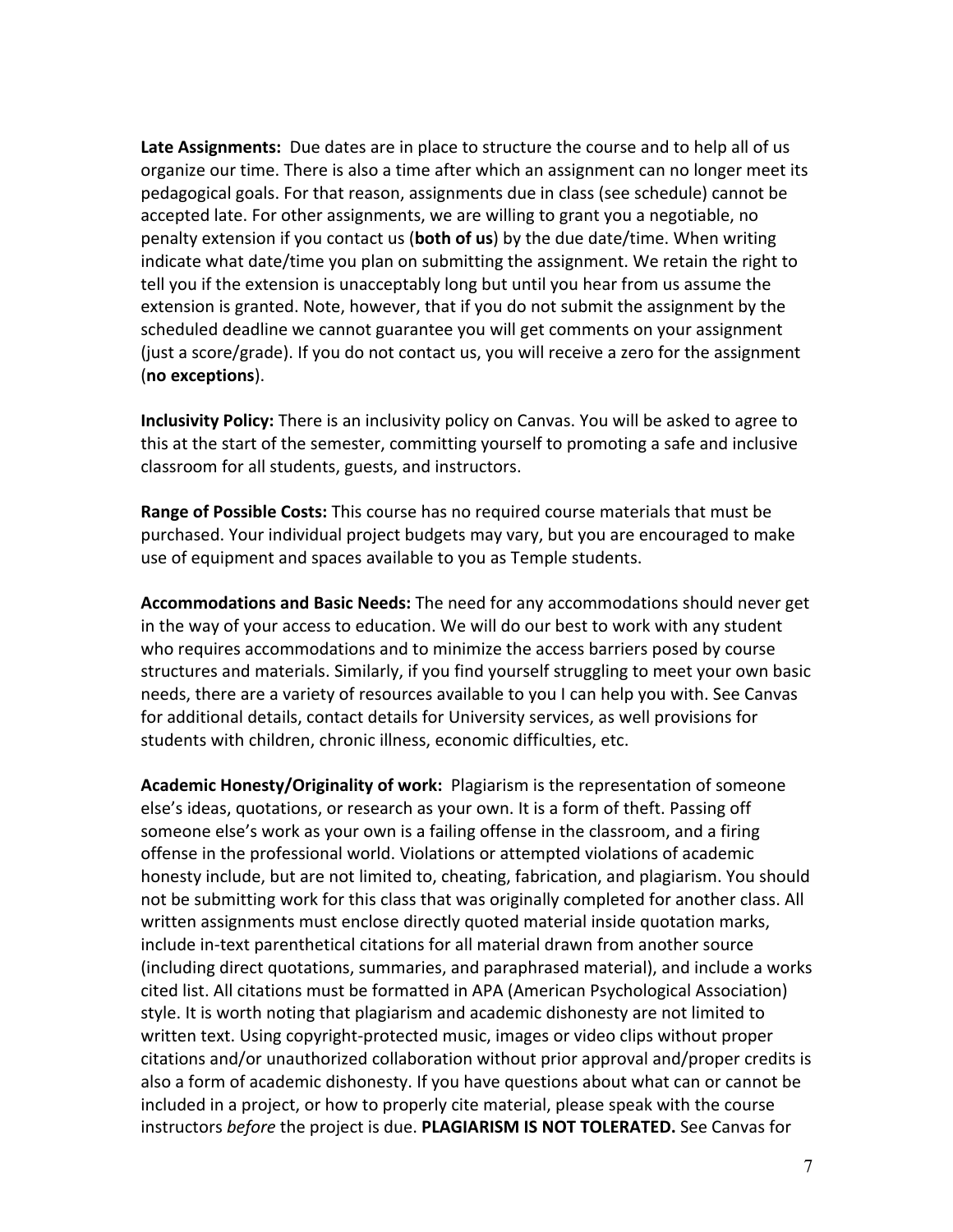**Late Assignments:** Due dates are in place to structure the course and to help all of us organize our time. There is also a time after which an assignment can no longer meet its pedagogical goals. For that reason, assignments due in class (see schedule) cannot be accepted late. For other assignments, we are willing to grant you a negotiable, no penalty extension if you contact us (**both of us**) by the due date/time. When writing indicate what date/time you plan on submitting the assignment. We retain the right to tell you if the extension is unacceptably long but until you hear from us assume the extension is granted. Note, however, that if you do not submit the assignment by the scheduled deadline we cannot guarantee you will get comments on your assignment (just a score/grade). If you do not contact us, you will receive a zero for the assignment (**no exceptions**).

**Inclusivity Policy:** There is an inclusivity policy on Canvas. You will be asked to agree to this at the start of the semester, committing yourself to promoting a safe and inclusive classroom for all students, guests, and instructors.

**Range of Possible Costs:** This course has no required course materials that must be purchased. Your individual project budgets may vary, but you are encouraged to make use of equipment and spaces available to you as Temple students.

**Accommodations and Basic Needs:** The need for any accommodations should never get in the way of your access to education. We will do our best to work with any student who requires accommodations and to minimize the access barriers posed by course structures and materials. Similarly, if you find yourself struggling to meet your own basic needs, there are a variety of resources available to you I can help you with. See Canvas for additional details, contact details for University services, as well provisions for students with children, chronic illness, economic difficulties, etc.

**Academic Honesty/Originality of work:** Plagiarism is the representation of someone else's ideas, quotations, or research as your own. It is a form of theft. Passing off someone else's work as your own is a failing offense in the classroom, and a firing offense in the professional world. Violations or attempted violations of academic honesty include, but are not limited to, cheating, fabrication, and plagiarism. You should not be submitting work for this class that was originally completed for another class. All written assignments must enclose directly quoted material inside quotation marks, include in-text parenthetical citations for all material drawn from another source (including direct quotations, summaries, and paraphrased material), and include a works cited list. All citations must be formatted in APA (American Psychological Association) style. It is worth noting that plagiarism and academic dishonesty are not limited to written text. Using copyright-protected music, images or video clips without proper citations and/or unauthorized collaboration without prior approval and/proper credits is also a form of academic dishonesty. If you have questions about what can or cannot be included in a project, or how to properly cite material, please speak with the course instructors *before* the project is due. **PLAGIARISM IS NOT TOLERATED.** See Canvas for